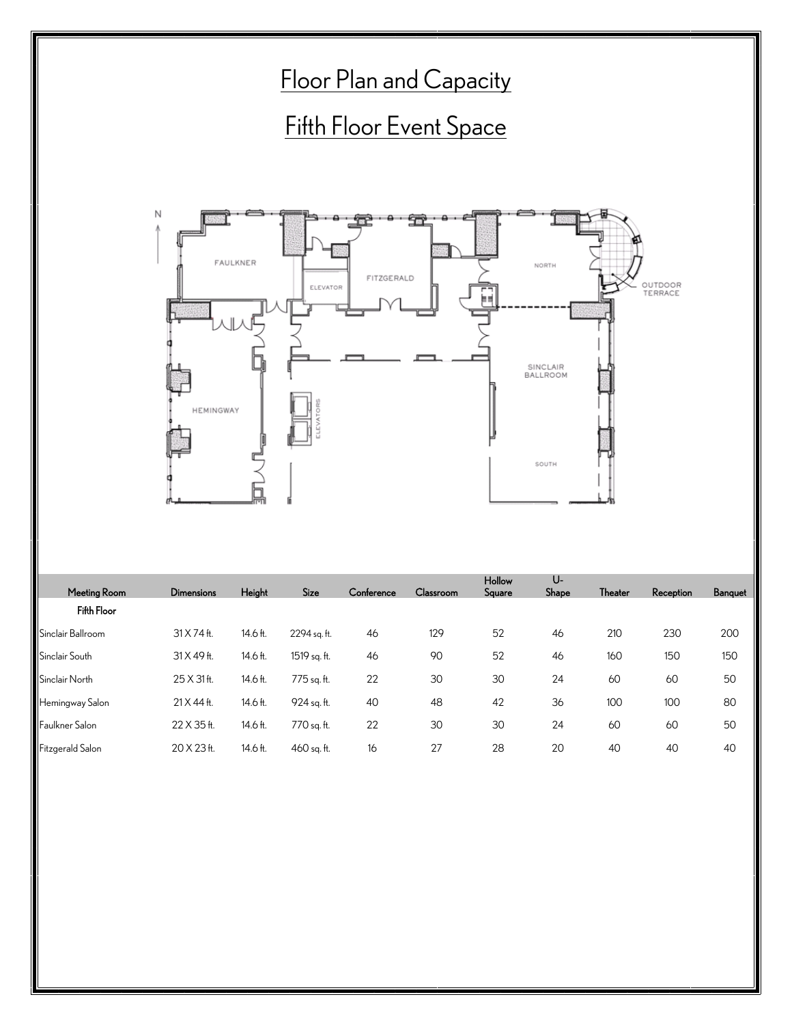

| Meeting Room      | <b>Dimensions</b> | Height   | Size         | Conference | Classroom | Square | Shape | <b>Theater</b> | Reception | Banquet |
|-------------------|-------------------|----------|--------------|------------|-----------|--------|-------|----------------|-----------|---------|
| Fifth Floor       |                   |          |              |            |           |        |       |                |           |         |
| Sinclair Ballroom | 31 X 74 ft.       | 14.6 ft. | 2294 sq. ft. | 46         | 129       | 52     | 46    | 210            | 230       | 200     |
| Sinclair South    | 31 X 49 ft.       | 14.6 ft. | 1519 sq. ft. | 46         | 90        | 52     | 46    | 160            | 150       | 150     |
| Sinclair North    | 25 X 31 ft.       | 14.6 ft. | 775 sq. ft.  | 22         | 30        | 30     | 24    | 60             | 60        | 50      |
| Hemingway Salon   | $21 X 44 H$ .     | 14.6 ft. | 924 sq. ft.  | 40         | 48        | 42     | 36    | 100            | 100       | 8C      |
| Faulkner Salon    | 22 X 35 ft.       | 14.6 ft. | 770 sq. ft.  | 22         | 30        | 30     | 24    | 60             | 60        | 50      |
| Fitzgerald Salon  | 20 X 23 H.        | 14.6 ft. | 460 sg. ft.  | 16         | 27        | 28     | 20    | 40             | 40        | 40      |